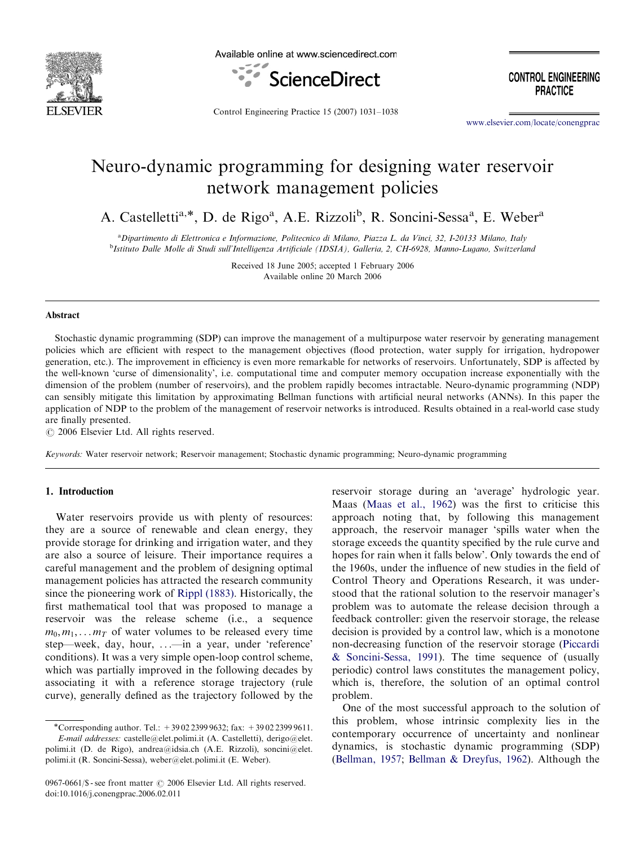

Available online at www.sciencedirect.com



**CONTROL ENGINEERING PRACTICE** 

Control Engineering Practice 15 (2007) 1031–1038

<www.elsevier.com/locate/conengprac>

## Neuro-dynamic programming for designing water reservoir network management policies

A. Castelletti<sup>a,\*</sup>, D. de Rigo<sup>a</sup>, A.E. Rizzoli<sup>b</sup>, R. Soncini-Sessa<sup>a</sup>, E. Weber<sup>a</sup>

a Dipartimento di Elettronica e Informazione, Politecnico di Milano, Piazza L. da Vinci, 32, I-20133 Milano, Italy b Istituto Dalle Molle di Studi sull'Intelligenza Artificiale (IDSIA), Galleria, 2, CH-6928, Manno-Lugano, Switzerland

> Received 18 June 2005; accepted 1 February 2006 Available online 20 March 2006

## Abstract

Stochastic dynamic programming (SDP) can improve the management of a multipurpose water reservoir by generating management policies which are efficient with respect to the management objectives (flood protection, water supply for irrigation, hydropower generation, etc.). The improvement in efficiency is even more remarkable for networks of reservoirs. Unfortunately, SDP is affected by the well-known 'curse of dimensionality', i.e. computational time and computer memory occupation increase exponentially with the dimension of the problem (number of reservoirs), and the problem rapidly becomes intractable. Neuro-dynamic programming (NDP) can sensibly mitigate this limitation by approximating Bellman functions with artificial neural networks (ANNs). In this paper the application of NDP to the problem of the management of reservoir networks is introduced. Results obtained in a real-world case study are finally presented.

 $C$  2006 Elsevier Ltd. All rights reserved.

Keywords: Water reservoir network; Reservoir management; Stochastic dynamic programming; Neuro-dynamic programming

## 1. Introduction

Water reservoirs provide us with plenty of resources: they are a source of renewable and clean energy, they provide storage for drinking and irrigation water, and they are also a source of leisure. Their importance requires a careful management and the problem of designing optimal management policies has attracted the research community since the pioneering work of [Rippl \(1883\).](#page--1-0) Historically, the first mathematical tool that was proposed to manage a reservoir was the release scheme (i.e., a sequence  $m_0, m_1, \ldots, m_T$  of water volumes to be released every time step—week, day, hour, ...—in a year, under 'reference' conditions). It was a very simple open-loop control scheme, which was partially improved in the following decades by associating it with a reference storage trajectory (rule curve), generally defined as the trajectory followed by the reservoir storage during an 'average' hydrologic year. Maas ([Maas et al., 1962\)](#page--1-0) was the first to criticise this approach noting that, by following this management approach, the reservoir manager 'spills water when the storage exceeds the quantity specified by the rule curve and hopes for rain when it falls below'. Only towards the end of the 1960s, under the influence of new studies in the field of Control Theory and Operations Research, it was understood that the rational solution to the reservoir manager's problem was to automate the release decision through a feedback controller: given the reservoir storage, the release decision is provided by a control law, which is a monotone non-decreasing function of the reservoir storage [\(Piccardi](#page--1-0) [& Soncini-Sessa, 1991](#page--1-0)). The time sequence of (usually periodic) control laws constitutes the management policy, which is, therefore, the solution of an optimal control problem.

One of the most successful approach to the solution of this problem, whose intrinsic complexity lies in the contemporary occurrence of uncertainty and nonlinear dynamics, is stochastic dynamic programming (SDP) ([Bellman, 1957;](#page--1-0) [Bellman](#page--1-0) & [Dreyfus, 1962\)](#page--1-0). Although the

<sup>\*</sup>Corresponding author. Tel.: +390223999632; fax: +390223999611. E-mail addresses: castelle@elet.polimi.it (A. Castelletti), derigo@elet.

polimi.it (D. de Rigo), andrea@idsia.ch (A.E. Rizzoli), soncini@elet. polimi.it (R. Soncini-Sessa), weber@elet.polimi.it (E. Weber).

<sup>0967-0661/\$ -</sup> see front matter  $\odot$  2006 Elsevier Ltd. All rights reserved. doi:10.1016/j.conengprac.2006.02.011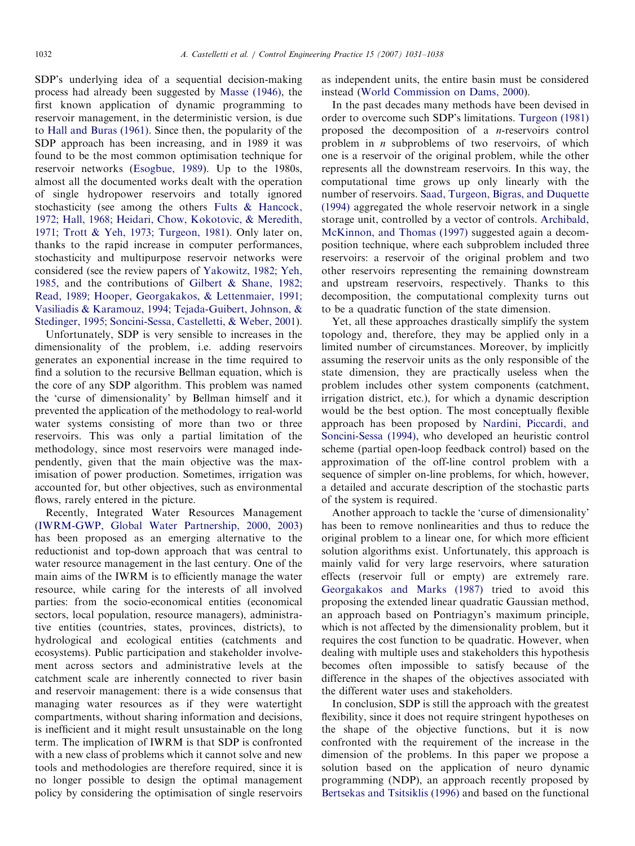SDP's underlying idea of a sequential decision-making process had already been suggested by [Masse \(1946\),](#page--1-0) the first known application of dynamic programming to reservoir management, in the deterministic version, is due to [Hall and Buras \(1961\).](#page--1-0) Since then, the popularity of the SDP approach has been increasing, and in 1989 it was found to be the most common optimisation technique for reservoir networks ([Esogbue, 1989](#page--1-0)). Up to the 1980s, almost all the documented works dealt with the operation of single hydropower reservoirs and totally ignored stochasticity (see among the others [Fults & Hancock,](#page--1-0) [1972; Hall, 1968; Heidari, Chow, Kokotovic, & Meredith,](#page--1-0) [1971; Trott](#page--1-0) & [Yeh, 1973; Turgeon, 1981\)](#page--1-0). Only later on, thanks to the rapid increase in computer performances, stochasticity and multipurpose reservoir networks were considered (see the review papers of [Yakowitz, 1982; Yeh,](#page--1-0) [1985,](#page--1-0) and the contributions of [Gilbert & Shane, 1982;](#page--1-0) [Read, 1989; Hooper, Georgakakos,](#page--1-0) [& Lettenmaier, 1991;](#page--1-0) [Vasiliadis & Karamouz, 1994; Tejada-Guibert, Johnson,](#page--1-0) & [Stedinger, 1995; Soncini-Sessa, Castelletti,](#page--1-0) & [Weber, 2001\)](#page--1-0).

Unfortunately, SDP is very sensible to increases in the dimensionality of the problem, i.e. adding reservoirs generates an exponential increase in the time required to find a solution to the recursive Bellman equation, which is the core of any SDP algorithm. This problem was named the 'curse of dimensionality' by Bellman himself and it prevented the application of the methodology to real-world water systems consisting of more than two or three reservoirs. This was only a partial limitation of the methodology, since most reservoirs were managed independently, given that the main objective was the maximisation of power production. Sometimes, irrigation was accounted for, but other objectives, such as environmental flows, rarely entered in the picture.

Recently, Integrated Water Resources Management [\(IWRM-GWP, Global Water Partnership, 2000, 2003](#page--1-0)) has been proposed as an emerging alternative to the reductionist and top-down approach that was central to water resource management in the last century. One of the main aims of the IWRM is to efficiently manage the water resource, while caring for the interests of all involved parties: from the socio-economical entities (economical sectors, local population, resource managers), administrative entities (countries, states, provinces, districts), to hydrological and ecological entities (catchments and ecosystems). Public participation and stakeholder involvement across sectors and administrative levels at the catchment scale are inherently connected to river basin and reservoir management: there is a wide consensus that managing water resources as if they were watertight compartments, without sharing information and decisions, is inefficient and it might result unsustainable on the long term. The implication of IWRM is that SDP is confronted with a new class of problems which it cannot solve and new tools and methodologies are therefore required, since it is no longer possible to design the optimal management policy by considering the optimisation of single reservoirs as independent units, the entire basin must be considered instead ([World Commission on Dams, 2000\)](#page--1-0).

In the past decades many methods have been devised in order to overcome such SDP's limitations. [Turgeon \(1981\)](#page--1-0) proposed the decomposition of a n-reservoirs control problem in  $n$  subproblems of two reservoirs, of which one is a reservoir of the original problem, while the other represents all the downstream reservoirs. In this way, the computational time grows up only linearly with the number of reservoirs. [Saad, Turgeon, Bigras, and Duquette](#page--1-0) [\(1994\)](#page--1-0) aggregated the whole reservoir network in a single storage unit, controlled by a vector of controls. [Archibald,](#page--1-0) [McKinnon, and Thomas \(1997\)](#page--1-0) suggested again a decomposition technique, where each subproblem included three reservoirs: a reservoir of the original problem and two other reservoirs representing the remaining downstream and upstream reservoirs, respectively. Thanks to this decomposition, the computational complexity turns out to be a quadratic function of the state dimension.

Yet, all these approaches drastically simplify the system topology and, therefore, they may be applied only in a limited number of circumstances. Moreover, by implicitly assuming the reservoir units as the only responsible of the state dimension, they are practically useless when the problem includes other system components (catchment, irrigation district, etc.), for which a dynamic description would be the best option. The most conceptually flexible approach has been proposed by [Nardini, Piccardi, and](#page--1-0) [Soncini-Sessa \(1994\)](#page--1-0), who developed an heuristic control scheme (partial open-loop feedback control) based on the approximation of the off-line control problem with a sequence of simpler on-line problems, for which, however, a detailed and accurate description of the stochastic parts of the system is required.

Another approach to tackle the 'curse of dimensionality' has been to remove nonlinearities and thus to reduce the original problem to a linear one, for which more efficient solution algorithms exist. Unfortunately, this approach is mainly valid for very large reservoirs, where saturation effects (reservoir full or empty) are extremely rare. [Georgakakos and Marks \(1987\)](#page--1-0) tried to avoid this proposing the extended linear quadratic Gaussian method, an approach based on Pontriagyn's maximum principle, which is not affected by the dimensionality problem, but it requires the cost function to be quadratic. However, when dealing with multiple uses and stakeholders this hypothesis becomes often impossible to satisfy because of the difference in the shapes of the objectives associated with the different water uses and stakeholders.

In conclusion, SDP is still the approach with the greatest flexibility, since it does not require stringent hypotheses on the shape of the objective functions, but it is now confronted with the requirement of the increase in the dimension of the problems. In this paper we propose a solution based on the application of neuro dynamic programming (NDP), an approach recently proposed by [Bertsekas and Tsitsiklis \(1996\)](#page--1-0) and based on the functional